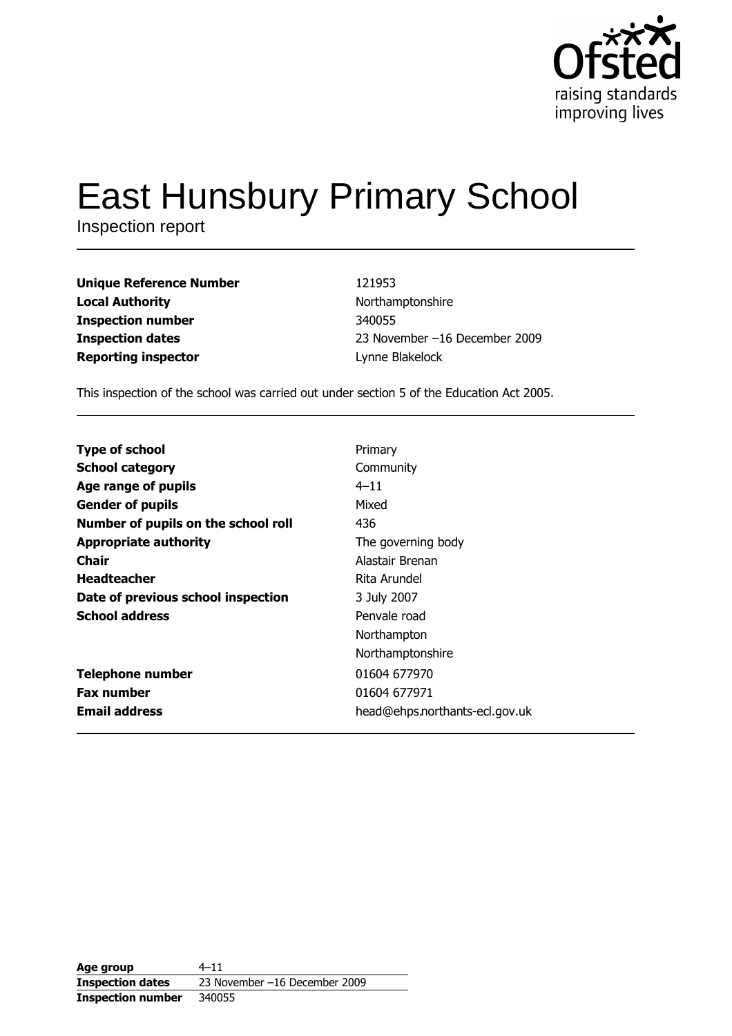

# **East Hunsbury Primary School**

Inspection report

**Unique Reference Number Local Authority Inspection number Inspection dates Reporting inspector** 

121953 Northamptonshire 340055 23 November -16 December 2009 Lynne Blakelock

This inspection of the school was carried out under section 5 of the Education Act 2005.

| <b>Type of school</b>               | Primary                        |
|-------------------------------------|--------------------------------|
| <b>School category</b>              | Community                      |
| Age range of pupils                 | $4 - 11$                       |
| <b>Gender of pupils</b>             | Mixed                          |
| Number of pupils on the school roll | 436                            |
| <b>Appropriate authority</b>        | The governing body             |
| <b>Chair</b>                        | Alastair Brenan                |
| <b>Headteacher</b>                  | Rita Arundel                   |
| Date of previous school inspection  | 3 July 2007                    |
| <b>School address</b>               | Penvale road                   |
|                                     | Northampton                    |
|                                     | Northamptonshire               |
| <b>Telephone number</b>             | 01604 677970                   |
| <b>Fax number</b>                   | 01604 677971                   |
| <b>Email address</b>                | head@ehps.northants-ecl.gov.uk |

Age group  $4 - 11$ **Inspection dates** 23 November -16 December 2009 **Inspection number** 340055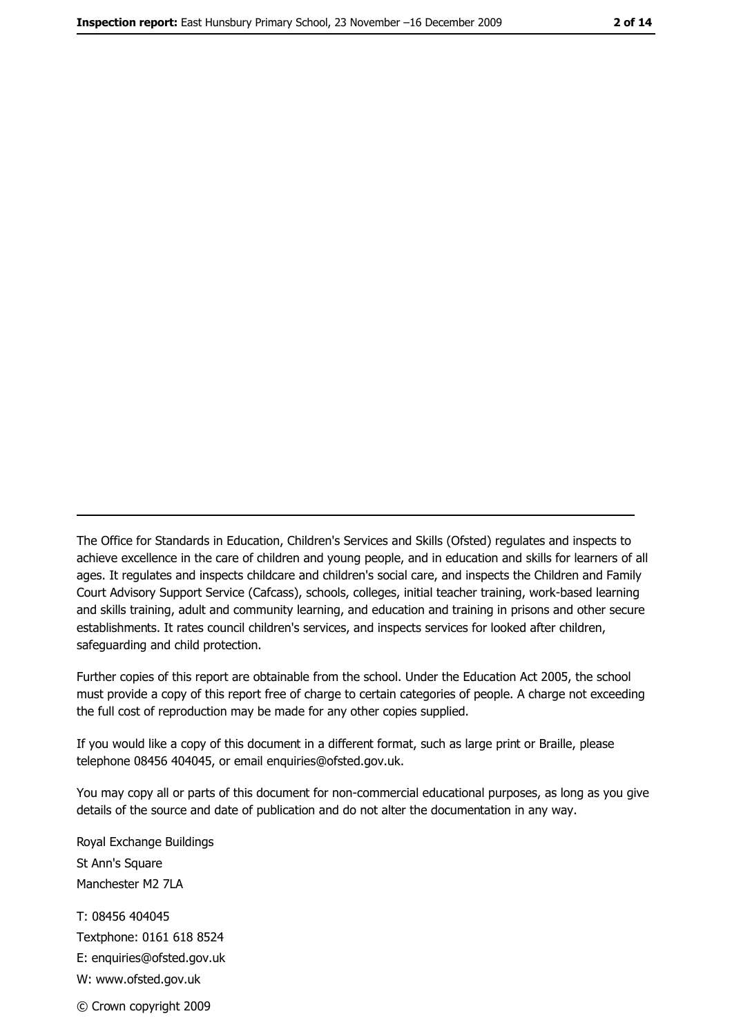The Office for Standards in Education, Children's Services and Skills (Ofsted) regulates and inspects to achieve excellence in the care of children and young people, and in education and skills for learners of all ages. It regulates and inspects childcare and children's social care, and inspects the Children and Family Court Advisory Support Service (Cafcass), schools, colleges, initial teacher training, work-based learning and skills training, adult and community learning, and education and training in prisons and other secure establishments. It rates council children's services, and inspects services for looked after children, safequarding and child protection.

Further copies of this report are obtainable from the school. Under the Education Act 2005, the school must provide a copy of this report free of charge to certain categories of people. A charge not exceeding the full cost of reproduction may be made for any other copies supplied.

If you would like a copy of this document in a different format, such as large print or Braille, please telephone 08456 404045, or email enquiries@ofsted.gov.uk.

You may copy all or parts of this document for non-commercial educational purposes, as long as you give details of the source and date of publication and do not alter the documentation in any way.

Royal Exchange Buildings St Ann's Square Manchester M2 7LA T: 08456 404045 Textphone: 0161 618 8524 E: enquiries@ofsted.gov.uk W: www.ofsted.gov.uk © Crown copyright 2009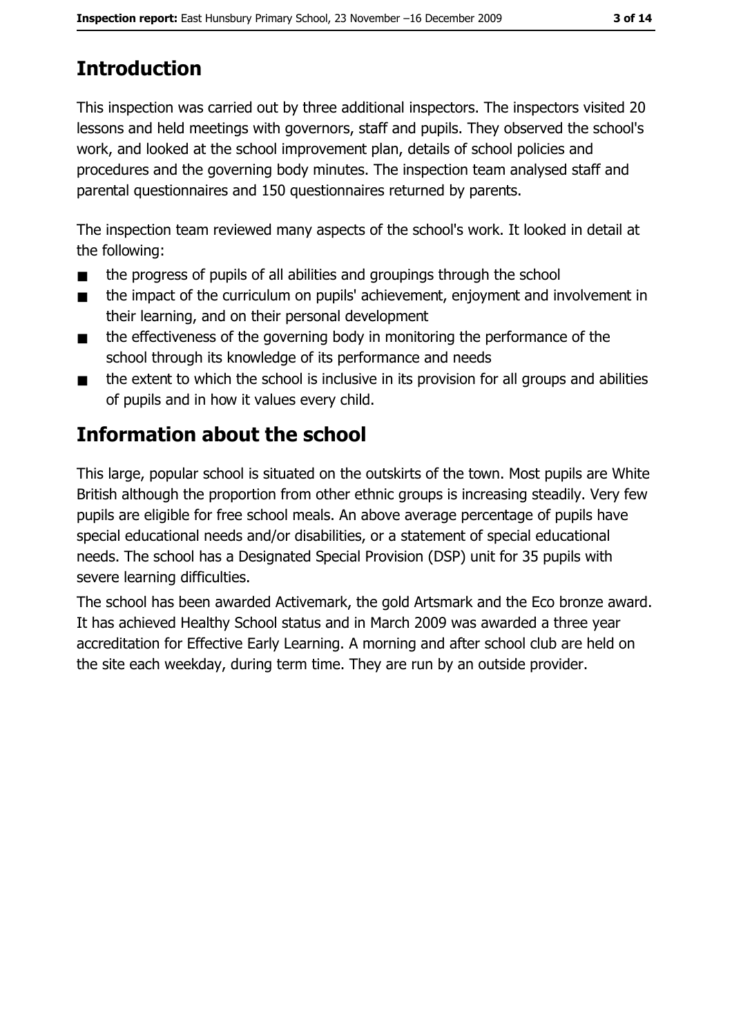# **Introduction**

This inspection was carried out by three additional inspectors. The inspectors visited 20 lessons and held meetings with governors, staff and pupils. They observed the school's work, and looked at the school improvement plan, details of school policies and procedures and the governing body minutes. The inspection team analysed staff and parental questionnaires and 150 questionnaires returned by parents.

The inspection team reviewed many aspects of the school's work. It looked in detail at the following:

- the progress of pupils of all abilities and groupings through the school  $\blacksquare$
- the impact of the curriculum on pupils' achievement, enjoyment and involvement in  $\blacksquare$ their learning, and on their personal development
- the effectiveness of the governing body in monitoring the performance of the  $\blacksquare$ school through its knowledge of its performance and needs
- the extent to which the school is inclusive in its provision for all groups and abilities  $\blacksquare$ of pupils and in how it values every child.

# **Information about the school**

This large, popular school is situated on the outskirts of the town. Most pupils are White British although the proportion from other ethnic groups is increasing steadily. Very few pupils are eligible for free school meals. An above average percentage of pupils have special educational needs and/or disabilities, or a statement of special educational needs. The school has a Designated Special Provision (DSP) unit for 35 pupils with severe learning difficulties.

The school has been awarded Activemark, the gold Artsmark and the Eco bronze award. It has achieved Healthy School status and in March 2009 was awarded a three year accreditation for Effective Early Learning. A morning and after school club are held on the site each weekday, during term time. They are run by an outside provider.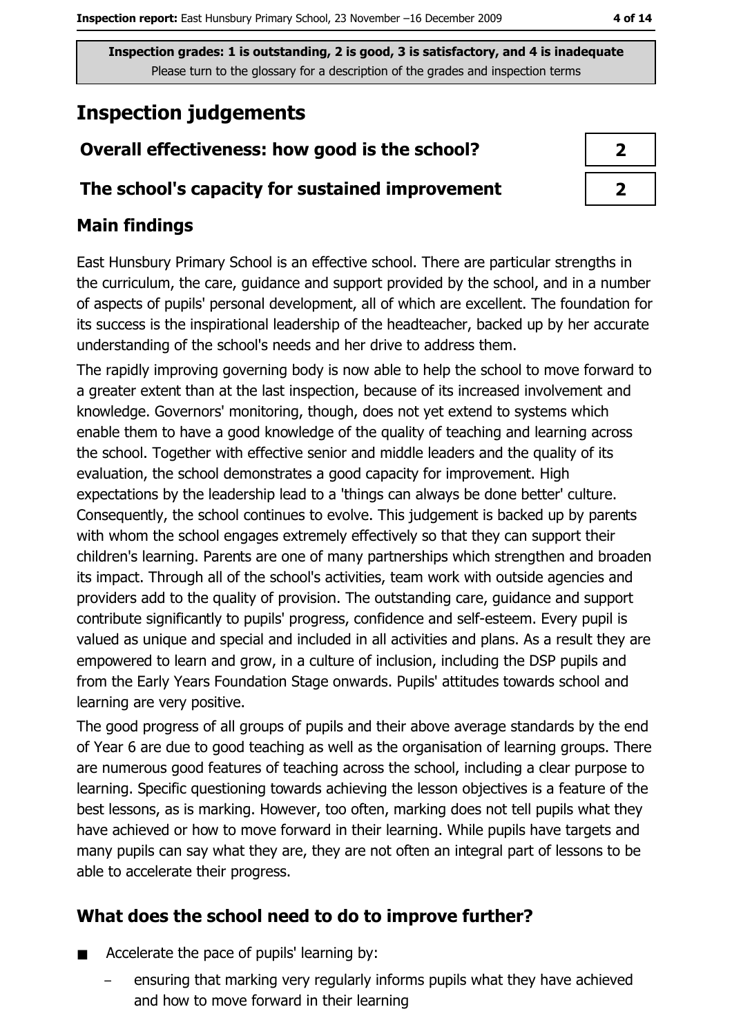# **Inspection judgements**

## Overall effectiveness: how good is the school?

### The school's capacity for sustained improvement

## **Main findings**

East Hunsbury Primary School is an effective school. There are particular strengths in the curriculum, the care, guidance and support provided by the school, and in a number of aspects of pupils' personal development, all of which are excellent. The foundation for its success is the inspirational leadership of the headteacher, backed up by her accurate understanding of the school's needs and her drive to address them.

The rapidly improving governing body is now able to help the school to move forward to a greater extent than at the last inspection, because of its increased involvement and knowledge. Governors' monitoring, though, does not yet extend to systems which enable them to have a good knowledge of the quality of teaching and learning across the school. Together with effective senior and middle leaders and the quality of its evaluation, the school demonstrates a good capacity for improvement. High expectations by the leadership lead to a 'things can always be done better' culture. Consequently, the school continues to evolve. This judgement is backed up by parents with whom the school engages extremely effectively so that they can support their children's learning. Parents are one of many partnerships which strengthen and broaden its impact. Through all of the school's activities, team work with outside agencies and providers add to the quality of provision. The outstanding care, guidance and support contribute significantly to pupils' progress, confidence and self-esteem. Every pupil is valued as unique and special and included in all activities and plans. As a result they are empowered to learn and grow, in a culture of inclusion, including the DSP pupils and from the Early Years Foundation Stage onwards. Pupils' attitudes towards school and learning are very positive.

The good progress of all groups of pupils and their above average standards by the end of Year 6 are due to good teaching as well as the organisation of learning groups. There are numerous good features of teaching across the school, including a clear purpose to learning. Specific questioning towards achieving the lesson objectives is a feature of the best lessons, as is marking. However, too often, marking does not tell pupils what they have achieved or how to move forward in their learning. While pupils have targets and many pupils can say what they are, they are not often an integral part of lessons to be able to accelerate their progress.

## What does the school need to do to improve further?

- Accelerate the pace of pupils' learning by:  $\blacksquare$ 
	- ensuring that marking very regularly informs pupils what they have achieved and how to move forward in their learning

| ۷ |
|---|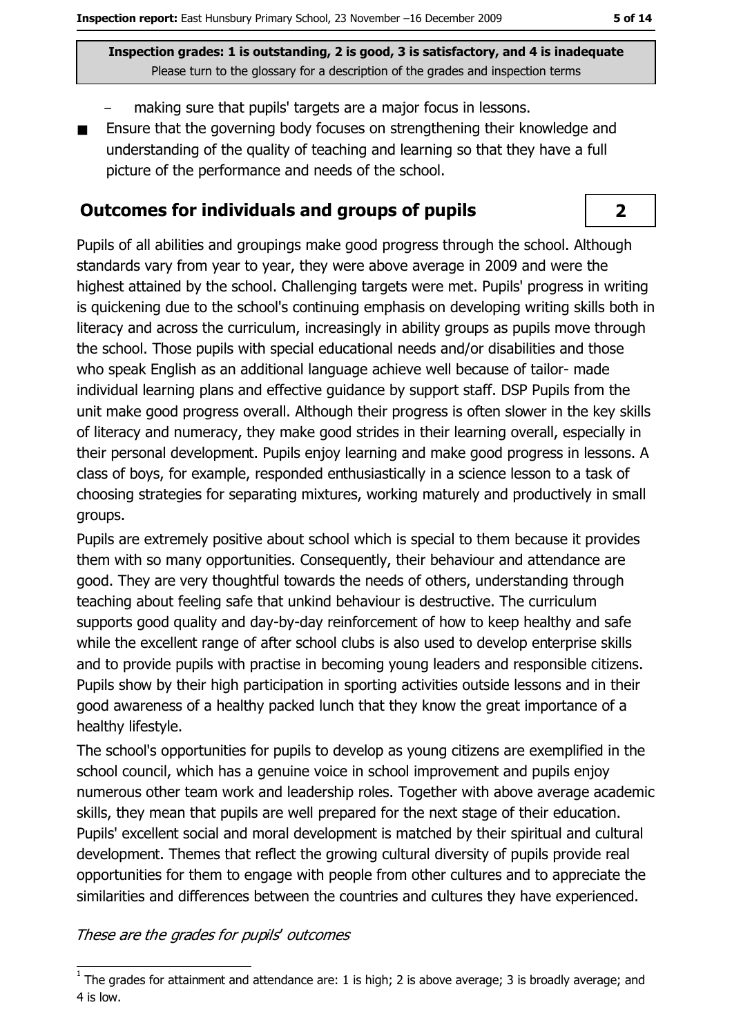- making sure that pupils' targets are a major focus in lessons.
- Ensure that the governing body focuses on strengthening their knowledge and  $\blacksquare$ understanding of the quality of teaching and learning so that they have a full picture of the performance and needs of the school.

#### **Outcomes for individuals and groups of pupils**

Pupils of all abilities and groupings make good progress through the school. Although standards vary from year to year, they were above average in 2009 and were the highest attained by the school. Challenging targets were met. Pupils' progress in writing is quickening due to the school's continuing emphasis on developing writing skills both in literacy and across the curriculum, increasingly in ability groups as pupils move through the school. Those pupils with special educational needs and/or disabilities and those who speak English as an additional language achieve well because of tailor- made individual learning plans and effective quidance by support staff. DSP Pupils from the unit make good progress overall. Although their progress is often slower in the key skills of literacy and numeracy, they make good strides in their learning overall, especially in their personal development. Pupils enjoy learning and make good progress in lessons. A class of boys, for example, responded enthusiastically in a science lesson to a task of choosing strategies for separating mixtures, working maturely and productively in small groups.

Pupils are extremely positive about school which is special to them because it provides them with so many opportunities. Consequently, their behaviour and attendance are good. They are very thoughtful towards the needs of others, understanding through teaching about feeling safe that unkind behaviour is destructive. The curriculum supports good quality and day-by-day reinforcement of how to keep healthy and safe while the excellent range of after school clubs is also used to develop enterprise skills and to provide pupils with practise in becoming young leaders and responsible citizens. Pupils show by their high participation in sporting activities outside lessons and in their good awareness of a healthy packed lunch that they know the great importance of a healthy lifestyle.

The school's opportunities for pupils to develop as young citizens are exemplified in the school council, which has a genuine voice in school improvement and pupils enjoy numerous other team work and leadership roles. Together with above average academic skills, they mean that pupils are well prepared for the next stage of their education. Pupils' excellent social and moral development is matched by their spiritual and cultural development. Themes that reflect the growing cultural diversity of pupils provide real opportunities for them to engage with people from other cultures and to appreciate the similarities and differences between the countries and cultures they have experienced.

#### These are the grades for pupils' outcomes

 $\overline{2}$ 

 $1$  The grades for attainment and attendance are: 1 is high; 2 is above average; 3 is broadly average; and 4 is low.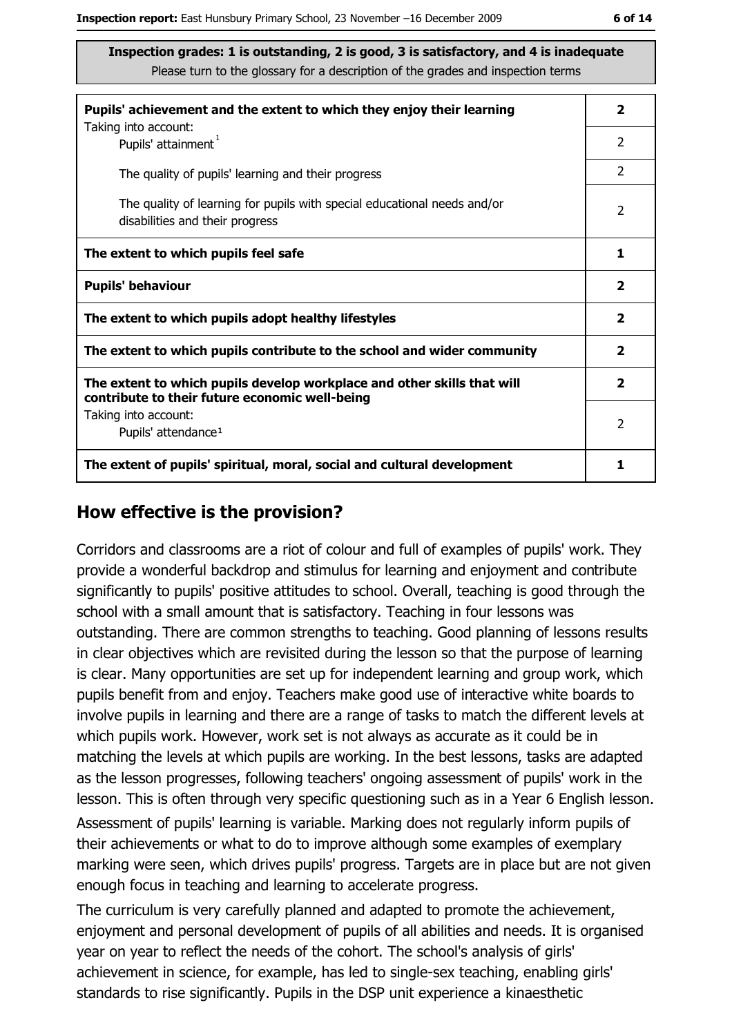| Pupils' achievement and the extent to which they enjoy their learning                                                     | $\overline{\mathbf{2}}$ |
|---------------------------------------------------------------------------------------------------------------------------|-------------------------|
| Taking into account:<br>Pupils' attainment <sup>1</sup>                                                                   | 2                       |
| The quality of pupils' learning and their progress                                                                        | $\mathcal{P}$           |
| The quality of learning for pupils with special educational needs and/or<br>disabilities and their progress               | $\overline{2}$          |
| The extent to which pupils feel safe                                                                                      | 1                       |
| <b>Pupils' behaviour</b>                                                                                                  | $\overline{\mathbf{2}}$ |
| The extent to which pupils adopt healthy lifestyles                                                                       | $\overline{\mathbf{2}}$ |
| The extent to which pupils contribute to the school and wider community                                                   | $\overline{\mathbf{2}}$ |
| The extent to which pupils develop workplace and other skills that will<br>contribute to their future economic well-being | $\overline{\mathbf{2}}$ |
| Taking into account:<br>Pupils' attendance <sup>1</sup>                                                                   | 2                       |
| The extent of pupils' spiritual, moral, social and cultural development                                                   | 1                       |

#### How effective is the provision?

Corridors and classrooms are a riot of colour and full of examples of pupils' work. They provide a wonderful backdrop and stimulus for learning and enjoyment and contribute significantly to pupils' positive attitudes to school. Overall, teaching is good through the school with a small amount that is satisfactory. Teaching in four lessons was outstanding. There are common strengths to teaching. Good planning of lessons results in clear objectives which are revisited during the lesson so that the purpose of learning is clear. Many opportunities are set up for independent learning and group work, which pupils benefit from and enjoy. Teachers make good use of interactive white boards to involve pupils in learning and there are a range of tasks to match the different levels at which pupils work. However, work set is not always as accurate as it could be in matching the levels at which pupils are working. In the best lessons, tasks are adapted as the lesson progresses, following teachers' ongoing assessment of pupils' work in the lesson. This is often through very specific questioning such as in a Year 6 English lesson.

Assessment of pupils' learning is variable. Marking does not regularly inform pupils of their achievements or what to do to improve although some examples of exemplary marking were seen, which drives pupils' progress. Targets are in place but are not given enough focus in teaching and learning to accelerate progress.

The curriculum is very carefully planned and adapted to promote the achievement, enjoyment and personal development of pupils of all abilities and needs. It is organised year on year to reflect the needs of the cohort. The school's analysis of girls' achievement in science, for example, has led to single-sex teaching, enabling girls' standards to rise significantly. Pupils in the DSP unit experience a kinaesthetic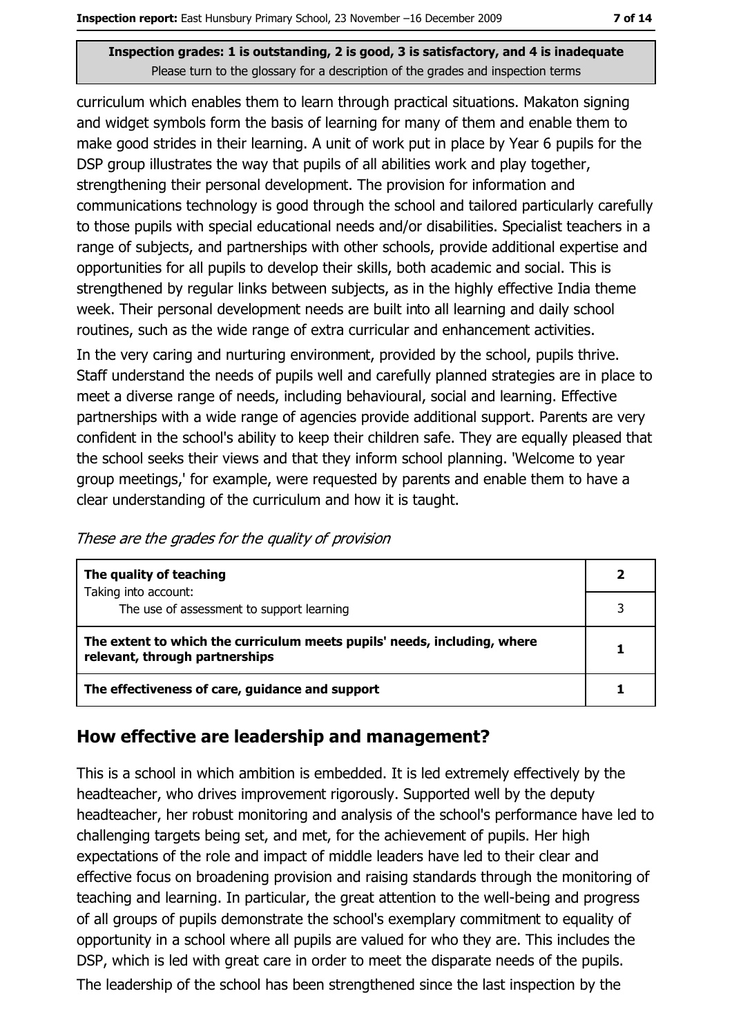curriculum which enables them to learn through practical situations. Makaton signing and widget symbols form the basis of learning for many of them and enable them to make good strides in their learning. A unit of work put in place by Year 6 pupils for the DSP group illustrates the way that pupils of all abilities work and play together, strengthening their personal development. The provision for information and communications technology is good through the school and tailored particularly carefully to those pupils with special educational needs and/or disabilities. Specialist teachers in a range of subjects, and partnerships with other schools, provide additional expertise and opportunities for all pupils to develop their skills, both academic and social. This is strengthened by regular links between subjects, as in the highly effective India theme week. Their personal development needs are built into all learning and daily school routines, such as the wide range of extra curricular and enhancement activities. In the very caring and nurturing environment, provided by the school, pupils thrive. Staff understand the needs of pupils well and carefully planned strategies are in place to meet a diverse range of needs, including behavioural, social and learning. Effective partnerships with a wide range of agencies provide additional support. Parents are very confident in the school's ability to keep their children safe. They are equally pleased that the school seeks their views and that they inform school planning. 'Welcome to year group meetings,' for example, were requested by parents and enable them to have a clear understanding of the curriculum and how it is taught.

|  |  | These are the grades for the quality of provision |
|--|--|---------------------------------------------------|
|  |  |                                                   |

| The quality of teaching                                                                                    |   |
|------------------------------------------------------------------------------------------------------------|---|
| Taking into account:<br>The use of assessment to support learning                                          |   |
|                                                                                                            |   |
| The extent to which the curriculum meets pupils' needs, including, where<br>relevant, through partnerships | 1 |
| The effectiveness of care, guidance and support                                                            |   |

#### How effective are leadership and management?

This is a school in which ambition is embedded. It is led extremely effectively by the headteacher, who drives improvement rigorously. Supported well by the deputy headteacher, her robust monitoring and analysis of the school's performance have led to challenging targets being set, and met, for the achievement of pupils. Her high expectations of the role and impact of middle leaders have led to their clear and effective focus on broadening provision and raising standards through the monitoring of teaching and learning. In particular, the great attention to the well-being and progress of all groups of pupils demonstrate the school's exemplary commitment to equality of opportunity in a school where all pupils are valued for who they are. This includes the DSP, which is led with great care in order to meet the disparate needs of the pupils. The leadership of the school has been strengthened since the last inspection by the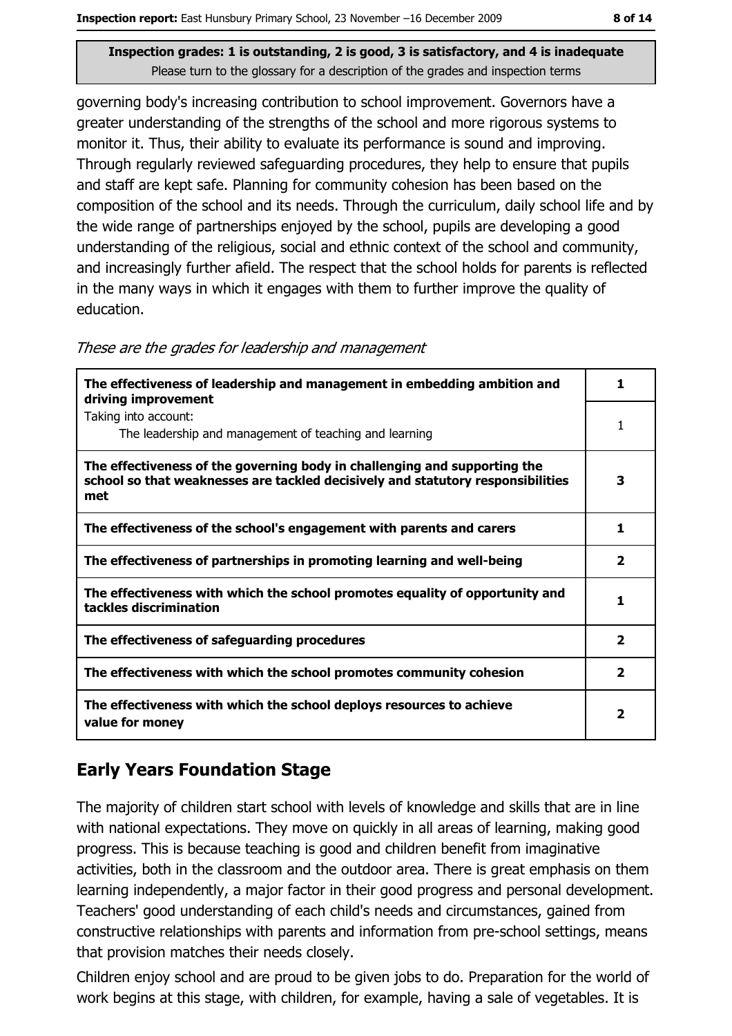governing body's increasing contribution to school improvement. Governors have a greater understanding of the strengths of the school and more rigorous systems to monitor it. Thus, their ability to evaluate its performance is sound and improving. Through regularly reviewed safeguarding procedures, they help to ensure that pupils and staff are kept safe. Planning for community cohesion has been based on the composition of the school and its needs. Through the curriculum, daily school life and by the wide range of partnerships enjoyed by the school, pupils are developing a good understanding of the religious, social and ethnic context of the school and community, and increasingly further afield. The respect that the school holds for parents is reflected in the many ways in which it engages with them to further improve the quality of education.

| These are the grades for leadership and management |  |  |  |
|----------------------------------------------------|--|--|--|
|----------------------------------------------------|--|--|--|

| The effectiveness of leadership and management in embedding ambition and<br>driving improvement                                                                     | 1.                      |
|---------------------------------------------------------------------------------------------------------------------------------------------------------------------|-------------------------|
| Taking into account:<br>The leadership and management of teaching and learning                                                                                      | 1                       |
| The effectiveness of the governing body in challenging and supporting the<br>school so that weaknesses are tackled decisively and statutory responsibilities<br>met | 3                       |
| The effectiveness of the school's engagement with parents and carers                                                                                                | 1                       |
| The effectiveness of partnerships in promoting learning and well-being                                                                                              | $\overline{\mathbf{2}}$ |
| The effectiveness with which the school promotes equality of opportunity and<br>tackles discrimination                                                              | 1                       |
| The effectiveness of safeguarding procedures                                                                                                                        | $\overline{\mathbf{2}}$ |
| The effectiveness with which the school promotes community cohesion                                                                                                 | 2                       |
| The effectiveness with which the school deploys resources to achieve<br>value for money                                                                             | 2                       |

#### **Early Years Foundation Stage**

The majority of children start school with levels of knowledge and skills that are in line with national expectations. They move on quickly in all areas of learning, making good progress. This is because teaching is good and children benefit from imaginative activities, both in the classroom and the outdoor area. There is great emphasis on them learning independently, a major factor in their good progress and personal development. Teachers' good understanding of each child's needs and circumstances, gained from constructive relationships with parents and information from pre-school settings, means that provision matches their needs closely.

Children enjoy school and are proud to be given jobs to do. Preparation for the world of work begins at this stage, with children, for example, having a sale of vegetables. It is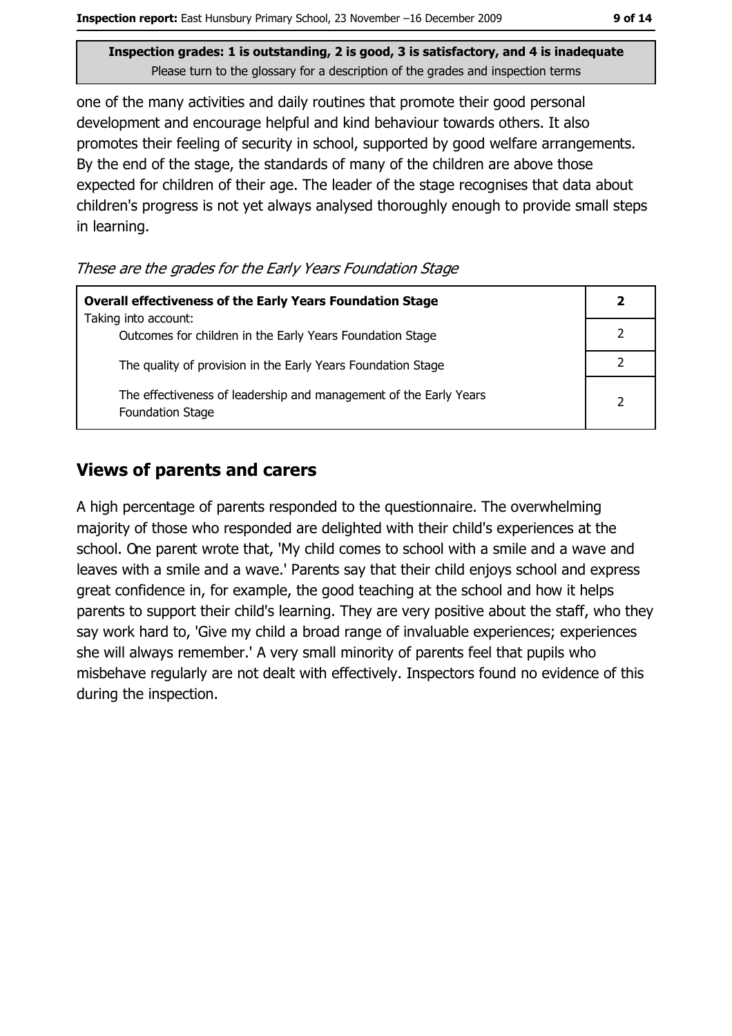one of the many activities and daily routines that promote their good personal development and encourage helpful and kind behaviour towards others. It also promotes their feeling of security in school, supported by good welfare arrangements. By the end of the stage, the standards of many of the children are above those expected for children of their age. The leader of the stage recognises that data about children's progress is not yet always analysed thoroughly enough to provide small steps in learning.

These are the grades for the Early Years Foundation Stage

| <b>Overall effectiveness of the Early Years Foundation Stage</b>                             |   |
|----------------------------------------------------------------------------------------------|---|
| Taking into account:<br>Outcomes for children in the Early Years Foundation Stage            |   |
| The quality of provision in the Early Years Foundation Stage                                 |   |
| The effectiveness of leadership and management of the Early Years<br><b>Foundation Stage</b> | າ |

#### **Views of parents and carers**

A high percentage of parents responded to the questionnaire. The overwhelming majority of those who responded are delighted with their child's experiences at the school. One parent wrote that, 'My child comes to school with a smile and a wave and leaves with a smile and a wave.' Parents say that their child enjoys school and express great confidence in, for example, the good teaching at the school and how it helps parents to support their child's learning. They are very positive about the staff, who they say work hard to, 'Give my child a broad range of invaluable experiences; experiences she will always remember.' A very small minority of parents feel that pupils who misbehave regularly are not dealt with effectively. Inspectors found no evidence of this during the inspection.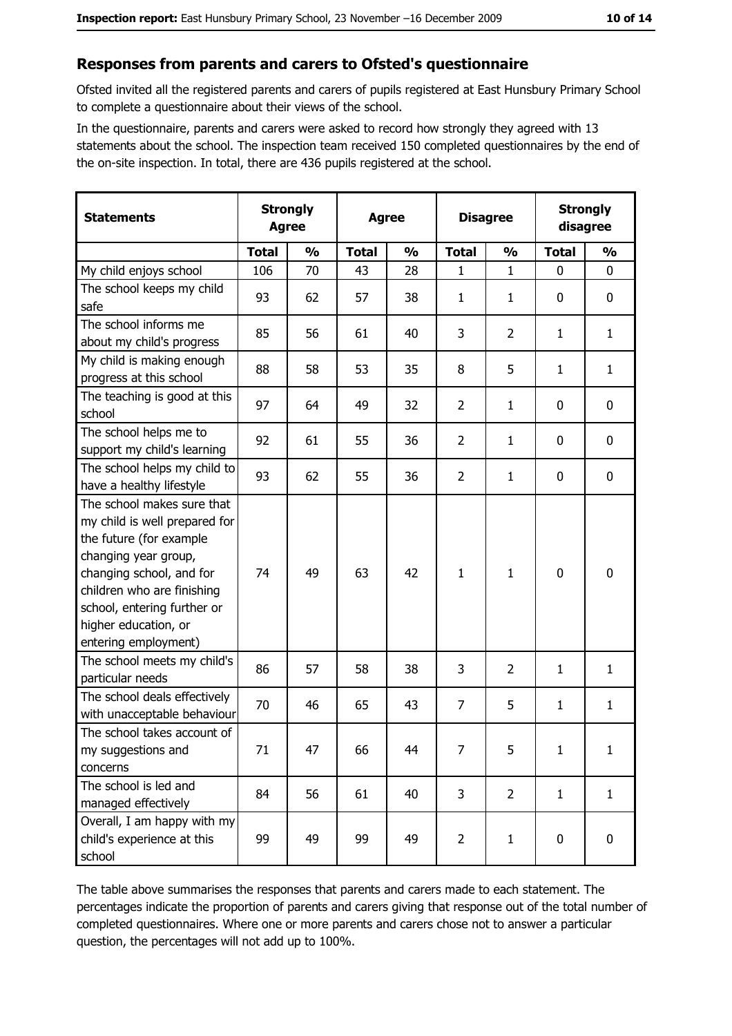#### Responses from parents and carers to Ofsted's questionnaire

Ofsted invited all the registered parents and carers of pupils registered at East Hunsbury Primary School to complete a questionnaire about their views of the school.

In the questionnaire, parents and carers were asked to record how strongly they agreed with 13 statements about the school. The inspection team received 150 completed questionnaires by the end of the on-site inspection. In total, there are 436 pupils registered at the school.

| <b>Statements</b>                                                                                                                                                                                                                                       | <b>Strongly</b><br><b>Agree</b> |               | <b>Agree</b> |               | <b>Disagree</b> |                | <b>Strongly</b><br>disagree |                  |
|---------------------------------------------------------------------------------------------------------------------------------------------------------------------------------------------------------------------------------------------------------|---------------------------------|---------------|--------------|---------------|-----------------|----------------|-----------------------------|------------------|
|                                                                                                                                                                                                                                                         | <b>Total</b>                    | $\frac{0}{0}$ | <b>Total</b> | $\frac{0}{0}$ | <b>Total</b>    | $\frac{0}{0}$  | <b>Total</b>                | $\frac{0}{0}$    |
| My child enjoys school                                                                                                                                                                                                                                  | 106                             | 70            | 43           | 28            | 1               | $\mathbf{1}$   | $\mathbf 0$                 | $\mathbf 0$      |
| The school keeps my child<br>safe                                                                                                                                                                                                                       | 93                              | 62            | 57           | 38            | $\mathbf{1}$    | $\mathbf{1}$   | 0                           | $\boldsymbol{0}$ |
| The school informs me<br>about my child's progress                                                                                                                                                                                                      | 85                              | 56            | 61           | 40            | 3               | $\overline{2}$ | 1                           | $\mathbf{1}$     |
| My child is making enough<br>progress at this school                                                                                                                                                                                                    | 88                              | 58            | 53           | 35            | 8               | 5              | 1                           | $\mathbf{1}$     |
| The teaching is good at this<br>school                                                                                                                                                                                                                  | 97                              | 64            | 49           | 32            | $\overline{2}$  | $\mathbf{1}$   | 0                           | 0                |
| The school helps me to<br>support my child's learning                                                                                                                                                                                                   | 92                              | 61            | 55           | 36            | $\overline{2}$  | $\mathbf{1}$   | 0                           | 0                |
| The school helps my child to<br>have a healthy lifestyle                                                                                                                                                                                                | 93                              | 62            | 55           | 36            | $\overline{2}$  | 1              | $\mathbf 0$                 | $\mathbf 0$      |
| The school makes sure that<br>my child is well prepared for<br>the future (for example<br>changing year group,<br>changing school, and for<br>children who are finishing<br>school, entering further or<br>higher education, or<br>entering employment) | 74                              | 49            | 63           | 42            | $\mathbf{1}$    | 1              | 0                           | 0                |
| The school meets my child's<br>particular needs                                                                                                                                                                                                         | 86                              | 57            | 58           | 38            | 3               | $\overline{2}$ | 1                           | $\mathbf{1}$     |
| The school deals effectively<br>with unacceptable behaviour                                                                                                                                                                                             | 70                              | 46            | 65           | 43            | $\overline{7}$  | 5              | 1                           | $\mathbf{1}$     |
| The school takes account of<br>my suggestions and<br>concerns                                                                                                                                                                                           | 71                              | 47            | 66           | 44            | $\overline{7}$  | 5              | $\mathbf{1}$                | $\mathbf{1}$     |
| The school is led and<br>managed effectively                                                                                                                                                                                                            | 84                              | 56            | 61           | 40            | 3               | $\overline{2}$ | $\mathbf{1}$                | $\mathbf{1}$     |
| Overall, I am happy with my<br>child's experience at this<br>school                                                                                                                                                                                     | 99                              | 49            | 99           | 49            | $\overline{2}$  | $\mathbf{1}$   | 0                           | $\boldsymbol{0}$ |

The table above summarises the responses that parents and carers made to each statement. The percentages indicate the proportion of parents and carers giving that response out of the total number of completed questionnaires. Where one or more parents and carers chose not to answer a particular question, the percentages will not add up to 100%.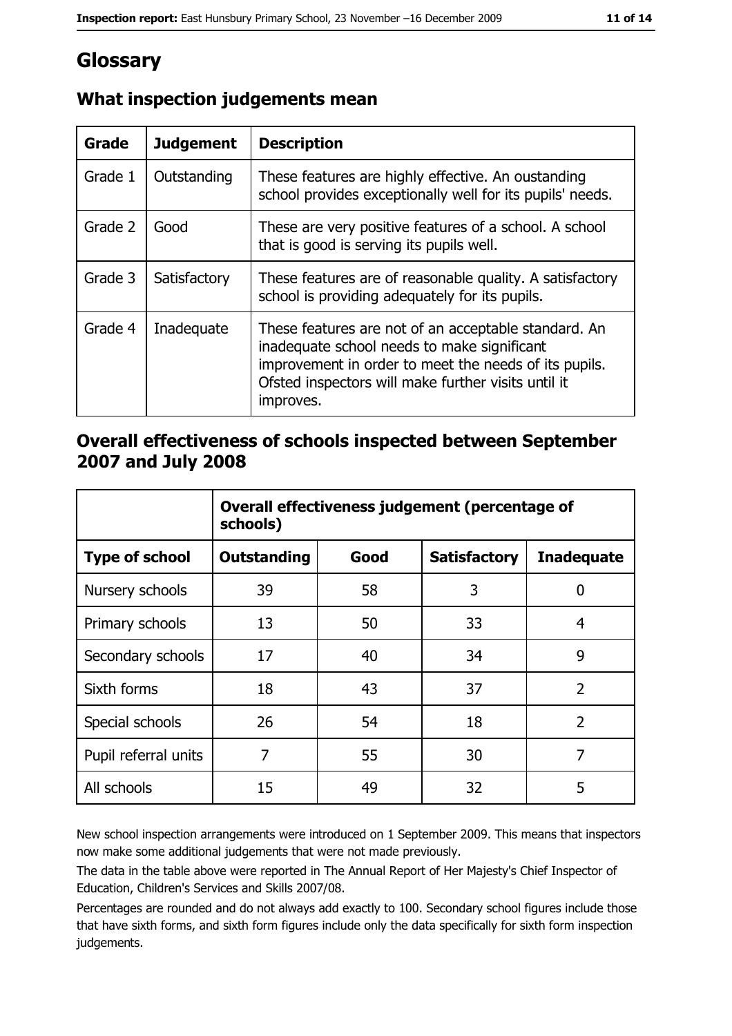# Glossary

| <b>Grade</b> | <b>Judgement</b> | <b>Description</b>                                                                                                                                                                                                               |
|--------------|------------------|----------------------------------------------------------------------------------------------------------------------------------------------------------------------------------------------------------------------------------|
| Grade 1      | Outstanding      | These features are highly effective. An oustanding<br>school provides exceptionally well for its pupils' needs.                                                                                                                  |
| Grade 2      | Good             | These are very positive features of a school. A school<br>that is good is serving its pupils well.                                                                                                                               |
| Grade 3      | Satisfactory     | These features are of reasonable quality. A satisfactory<br>school is providing adequately for its pupils.                                                                                                                       |
| Grade 4      | Inadequate       | These features are not of an acceptable standard. An<br>inadequate school needs to make significant<br>improvement in order to meet the needs of its pupils.<br>Ofsted inspectors will make further visits until it<br>improves. |

## What inspection judgements mean

## Overall effectiveness of schools inspected between September 2007 and July 2008

|                       | Overall effectiveness judgement (percentage of<br>schools) |      |                     |                   |
|-----------------------|------------------------------------------------------------|------|---------------------|-------------------|
| <b>Type of school</b> | Outstanding                                                | Good | <b>Satisfactory</b> | <b>Inadequate</b> |
| Nursery schools       | 39                                                         | 58   | 3                   | 0                 |
| Primary schools       | 13                                                         | 50   | 33                  | 4                 |
| Secondary schools     | 17                                                         | 40   | 34                  | 9                 |
| Sixth forms           | 18                                                         | 43   | 37                  | $\overline{2}$    |
| Special schools       | 26                                                         | 54   | 18                  | $\overline{2}$    |
| Pupil referral units  | 7                                                          | 55   | 30                  | 7                 |
| All schools           | 15                                                         | 49   | 32                  | 5                 |

New school inspection arrangements were introduced on 1 September 2009. This means that inspectors now make some additional judgements that were not made previously.

The data in the table above were reported in The Annual Report of Her Majesty's Chief Inspector of Education, Children's Services and Skills 2007/08.

Percentages are rounded and do not always add exactly to 100. Secondary school figures include those that have sixth forms, and sixth form figures include only the data specifically for sixth form inspection judgements.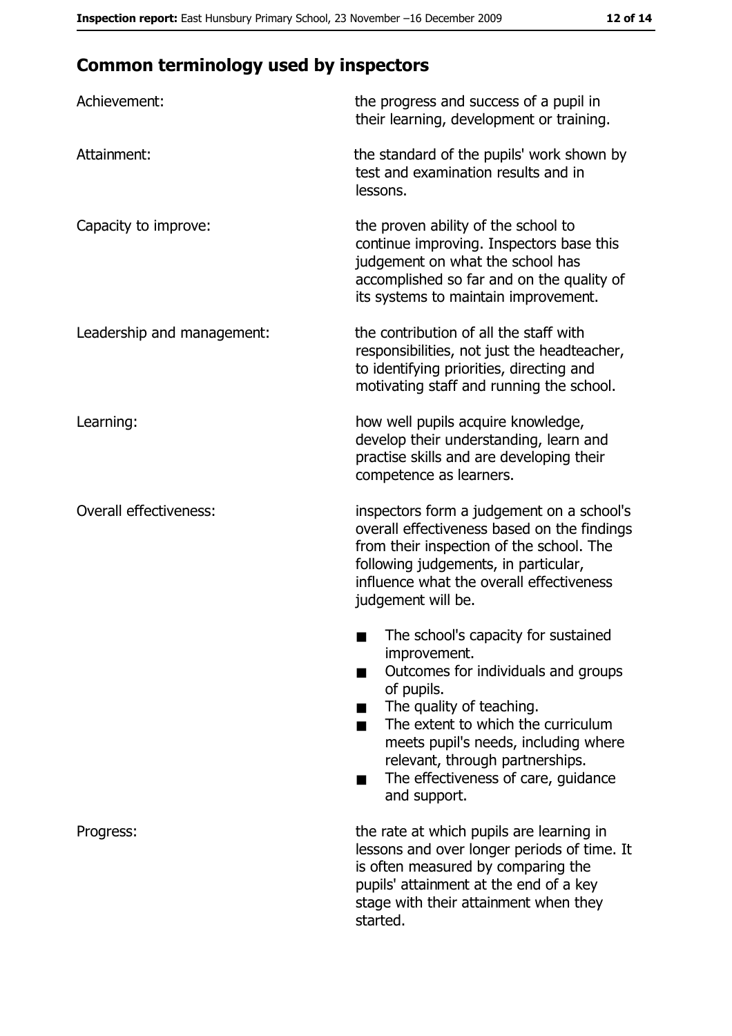# **Common terminology used by inspectors**

| Achievement:                  | the progress and success of a pupil in<br>their learning, development or training.                                                                                                                                                                                                                           |
|-------------------------------|--------------------------------------------------------------------------------------------------------------------------------------------------------------------------------------------------------------------------------------------------------------------------------------------------------------|
| Attainment:                   | the standard of the pupils' work shown by<br>test and examination results and in<br>lessons.                                                                                                                                                                                                                 |
| Capacity to improve:          | the proven ability of the school to<br>continue improving. Inspectors base this<br>judgement on what the school has<br>accomplished so far and on the quality of<br>its systems to maintain improvement.                                                                                                     |
| Leadership and management:    | the contribution of all the staff with<br>responsibilities, not just the headteacher,<br>to identifying priorities, directing and<br>motivating staff and running the school.                                                                                                                                |
| Learning:                     | how well pupils acquire knowledge,<br>develop their understanding, learn and<br>practise skills and are developing their<br>competence as learners.                                                                                                                                                          |
| <b>Overall effectiveness:</b> | inspectors form a judgement on a school's<br>overall effectiveness based on the findings<br>from their inspection of the school. The<br>following judgements, in particular,<br>influence what the overall effectiveness<br>judgement will be.                                                               |
|                               | The school's capacity for sustained<br>improvement.<br>Outcomes for individuals and groups<br>of pupils.<br>The quality of teaching.<br>The extent to which the curriculum<br>meets pupil's needs, including where<br>relevant, through partnerships.<br>The effectiveness of care, guidance<br>and support. |
| Progress:                     | the rate at which pupils are learning in<br>lessons and over longer periods of time. It<br>is often measured by comparing the<br>pupils' attainment at the end of a key<br>stage with their attainment when they<br>started.                                                                                 |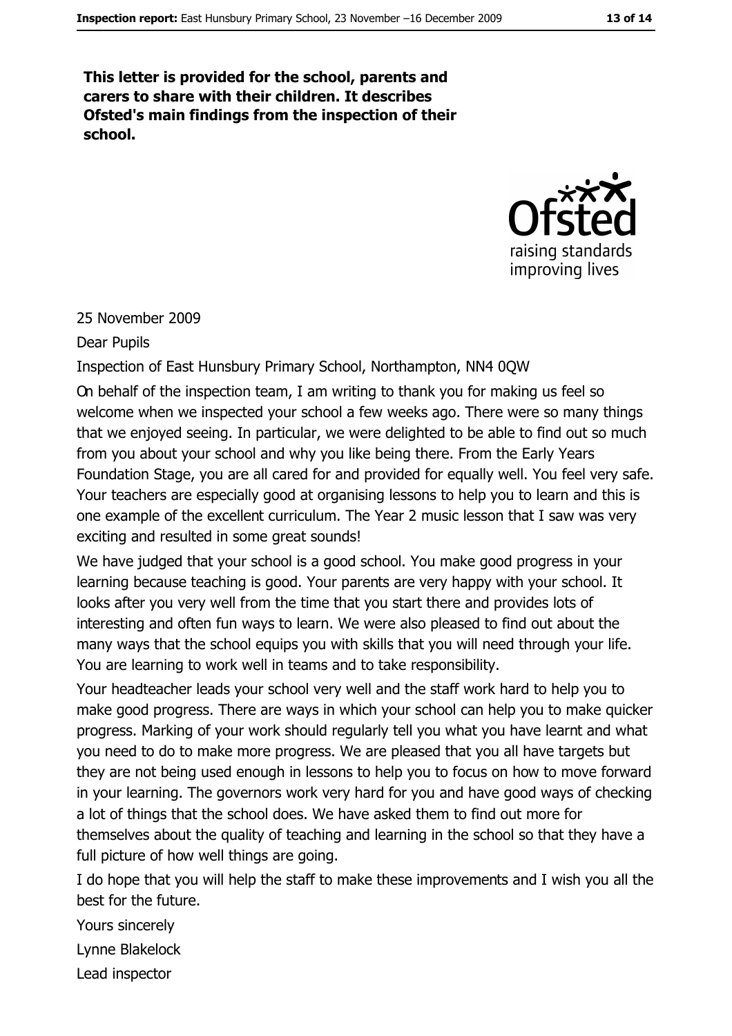This letter is provided for the school, parents and carers to share with their children. It describes Ofsted's main findings from the inspection of their school.



#### 25 November 2009

#### **Dear Pupils**

Inspection of East Hunsbury Primary School, Northampton, NN4 0QW

On behalf of the inspection team, I am writing to thank you for making us feel so welcome when we inspected your school a few weeks ago. There were so many things that we enjoyed seeing. In particular, we were delighted to be able to find out so much from you about your school and why you like being there. From the Early Years Foundation Stage, you are all cared for and provided for equally well. You feel very safe. Your teachers are especially good at organising lessons to help you to learn and this is one example of the excellent curriculum. The Year 2 music lesson that I saw was very exciting and resulted in some great sounds!

We have judged that your school is a good school. You make good progress in your learning because teaching is good. Your parents are very happy with your school. It looks after you very well from the time that you start there and provides lots of interesting and often fun ways to learn. We were also pleased to find out about the many ways that the school equips you with skills that you will need through your life. You are learning to work well in teams and to take responsibility.

Your headteacher leads your school very well and the staff work hard to help you to make good progress. There are ways in which your school can help you to make guicker progress. Marking of your work should regularly tell you what you have learnt and what you need to do to make more progress. We are pleased that you all have targets but they are not being used enough in lessons to help you to focus on how to move forward in your learning. The governors work very hard for you and have good ways of checking a lot of things that the school does. We have asked them to find out more for themselves about the quality of teaching and learning in the school so that they have a full picture of how well things are going.

I do hope that you will help the staff to make these improvements and I wish you all the best for the future.

Yours sincerely

Lynne Blakelock

Lead inspector